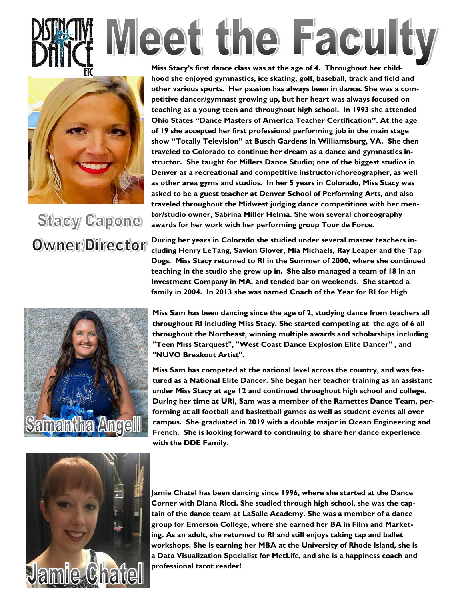



**Stacy Capone** Owner/Director



**Miss Stacy's first dance class was at the age of 4. Throughout her childhood she enjoyed gymnastics, ice skating, golf, baseball, track and field and other various sports. Her passion has always been in dance. She was a competitive dancer/gymnast growing up, but her heart was always focused on teaching as a young teen and throughout high school. In 1993 she attended Ohio States "Dance Masters of America Teacher Certification". At the age of 19 she accepted her first professional performing job in the main stage show "Totally Television" at Busch Gardens in Williamsburg, VA. She then traveled to Colorado to continue her dream as a dance and gymnastics instructor. She taught for Millers Dance Studio; one of the biggest studios in Denver as a recreational and competitive instructor/choreographer, as well as other area gyms and studios. In her 5 years in Colorado, Miss Stacy was asked to be a guest teacher at Denver School of Performing Arts, and also traveled throughout the Midwest judging dance competitions with her mentor/studio owner, Sabrina Miller Helma. She won several choreography awards for her work with her performing group Tour de Force.**

**During her years in Colorado she studied under several master teachers including Henry LeTang, Savion Glover, Mia Michaels, Ray Leaper and the Tap Dogs. Miss Stacy returned to RI in the Summer of 2000, where she continued teaching in the studio she grew up in. She also managed a team of 18 in an Investment Company in MA, and tended bar on weekends. She started a family in 2004. In 2013 she was named Coach of the Year for RI for High** 

**Miss Sam has been dancing since the age of 2, studying dance from teachers all throughout RI including Miss Stacy. She started competing at the age of 6 all throughout the Northeast, winning multiple awards and scholarships including "Teen Miss Starquest", "West Coast Dance Explosion Elite Dancer" , and "NUVO Breakout Artist".**

**Miss Sam has competed at the national level across the country, and was featured as a National Elite Dancer. She began her teacher training as an assistant under Miss Stacy at age 12 and continued throughout high school and college. During her time at URI, Sam was a member of the Ramettes Dance Team, performing at all football and basketball games as well as student events all over campus. She graduated in 2019 with a double major in Ocean Engineering and French. She is looking forward to continuing to share her dance experience with the DDE Family.**



**Jamie Chatel has been dancing since 1996, where she started at the Dance Corner with Diana Ricci. She studied through high school, she was the captain of the dance team at LaSalle Academy. She was a member of a dance group for Emerson College, where she earned her BA in Film and Marketing. As an adult, she returned to RI and still enjoys taking tap and ballet workshops. She is earning her MBA at the University of Rhode Island, she is a Data Visualization Specialist for MetLife, and she is a happiness coach and professional tarot reader!**